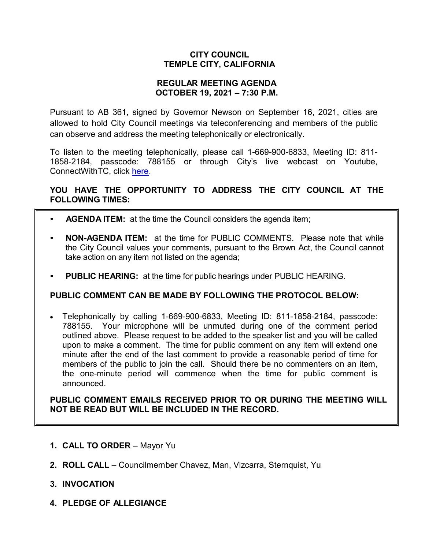## **CITY COUNCIL TEMPLE CITY, CALIFORNIA**

## **REGULAR MEETING AGENDA OCTOBER 19, 2021 – 7:30 P.M.**

Pursuant to AB 361, signed by Governor Newson on September 16, 2021, cities are allowed to hold City Council meetings via teleconferencing and members of the public can observe and address the meeting telephonically or electronically.

To listen to the meeting telephonically, please call 1-669-900-6833, Meeting ID: 811- 1858-2184, passcode: 788155 or through City's live webcast on Youtube, ConnectWithTC, click [here.](https://www.ci.temple-city.ca.us/516/Meeting-Webcast)

# **YOU HAVE THE OPPORTUNITY TO ADDRESS THE CITY COUNCIL AT THE FOLLOWING TIMES:**

- **AGENDA ITEM:** at the time the Council considers the agenda item;
- **NON-AGENDA ITEM:** at the time for PUBLIC COMMENTS. Please note that while the City Council values your comments, pursuant to the Brown Act, the Council cannot take action on any item not listed on the agenda;
- **PUBLIC HEARING:** at the time for public hearings under PUBLIC HEARING.

## **PUBLIC COMMENT CAN BE MADE BY FOLLOWING THE PROTOCOL BELOW:**

• Telephonically by calling 1-669-900-6833, Meeting ID: 811-1858-2184, passcode: 788155. Your microphone will be unmuted during one of the comment period outlined above. Please request to be added to the speaker list and you will be called upon to make a comment. The time for public comment on any item will extend one minute after the end of the last comment to provide a reasonable period of time for members of the public to join the call. Should there be no commenters on an item, the one-minute period will commence when the time for public comment is announced.

**PUBLIC COMMENT EMAILS RECEIVED PRIOR TO OR DURING THE MEETING WILL NOT BE READ BUT WILL BE INCLUDED IN THE RECORD.**

- **1. CALL TO ORDER**  Mayor Yu
- **2. ROLL CALL**  Councilmember Chavez, Man, Vizcarra, Sternquist, Yu
- **3. INVOCATION**
- **4. PLEDGE OF ALLEGIANCE**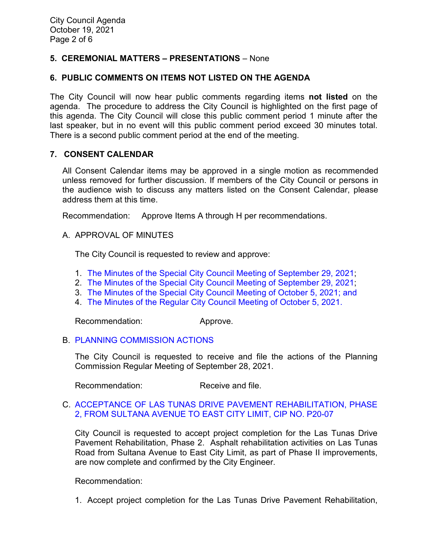# **5. CEREMONIAL MATTERS – PRESENTATIONS** – None

## **6. PUBLIC COMMENTS ON ITEMS NOT LISTED ON THE AGENDA**

The City Council will now hear public comments regarding items **not listed** on the agenda. The procedure to address the City Council is highlighted on the first page of this agenda. The City Council will close this public comment period 1 minute after the last speaker, but in no event will this public comment period exceed 30 minutes total. There is a second public comment period at the end of the meeting.

### **7. CONSENT CALENDAR**

All Consent Calendar items may be approved in a single motion as recommended unless removed for further discussion. If members of the City Council or persons in the audience wish to discuss any matters listed on the Consent Calendar, please address them at this time.

Recommendation: Approve Items A through H per recommendations.

### A. APPROVAL OF MINUTES

The City Council is requested to review and approve:

- 1. The Minutes of the Special [City Council Meeting of September 29, 2021;](https://www.ci.temple-city.ca.us/DocumentCenter/View/16875/7A1_CCM---2021-09-29-Sheriffs-Monthly)
- 2. [The Minutes of the Special City Council Meeting of September 29, 2021;](https://www.ci.temple-city.ca.us/DocumentCenter/View/16876/7A-2_CCM---2021-09-29-Special)
- 3. The Minutes of the Special [City Council Meeting of October 5, 2021; and](https://www.ci.temple-city.ca.us/DocumentCenter/View/16877/7A3_CCM---2021-10-05-Special-Joint-Meeting-with-Planning-Commission_revised-AB-361-1)
- 4. [The Minutes of the Regular City Council Meeting of October 5, 2021.](https://www.ci.temple-city.ca.us/DocumentCenter/View/16878/7A4_CCM---2021-10-05)

Recommendation: Approve.

#### B. [PLANNING COMMISSION ACTIONS](https://www.ci.temple-city.ca.us/DocumentCenter/View/16879/7B_PC-Actions---from-2021-9-28)

The City Council is requested to receive and file the actions of the Planning Commission Regular Meeting of September 28, 2021.

Recommendation: Receive and file.

## C. [ACCEPTANCE OF LAS TUNAS DRIVE PAVEMENT REHABILITATION, PHASE](https://www.ci.temple-city.ca.us/DocumentCenter/View/16880/7C_Las-Tunas-Dr-Rehab-Ph-2_Staff-Report_PROJECT-COMPLETION-P20-07-w-attachment)  [2, FROM SULTANA AVENUE TO EAST CITY LIMIT, CIP NO. P20-07](https://www.ci.temple-city.ca.us/DocumentCenter/View/16880/7C_Las-Tunas-Dr-Rehab-Ph-2_Staff-Report_PROJECT-COMPLETION-P20-07-w-attachment)

City Council is requested to accept project completion for the Las Tunas Drive Pavement Rehabilitation, Phase 2. Asphalt rehabilitation activities on Las Tunas Road from Sultana Avenue to East City Limit, as part of Phase II improvements, are now complete and confirmed by the City Engineer.

Recommendation:

1. Accept project completion for the Las Tunas Drive Pavement Rehabilitation,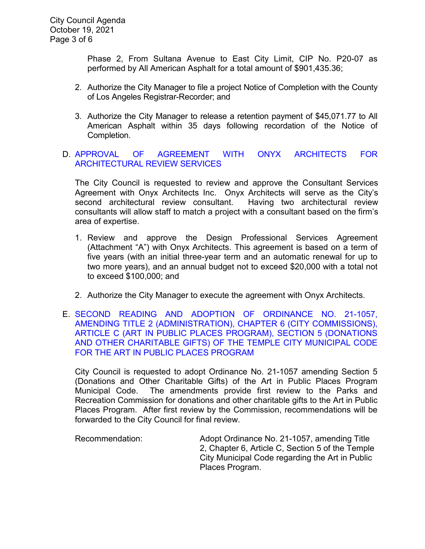Phase 2, From Sultana Avenue to East City Limit, CIP No. P20-07 as performed by All American Asphalt for a total amount of \$901,435.36;

- 2. Authorize the City Manager to file a project Notice of Completion with the County of Los Angeles Registrar-Recorder; and
- 3. Authorize the City Manager to release a retention payment of \$45,071.77 to All American Asphalt within 35 days following recordation of the Notice of Completion.

# D. [APPROVAL OF AGREEMENT WITH ONYX ARCHITECTS FOR](https://www.ci.temple-city.ca.us/DocumentCenter/View/16881/7D_Award-of-Contract-Onyx_Staff-Report_SR-edits_v2-w-attachment)  [ARCHITECTURAL REVIEW SERVICES](https://www.ci.temple-city.ca.us/DocumentCenter/View/16881/7D_Award-of-Contract-Onyx_Staff-Report_SR-edits_v2-w-attachment)

The City Council is requested to review and approve the Consultant Services Agreement with Onyx Architects Inc. Onyx Architects will serve as the City's second architectural review consultant. Having two architectural review consultants will allow staff to match a project with a consultant based on the firm's area of expertise.

- 1. Review and approve the Design Professional Services Agreement (Attachment "A") with Onyx Architects. This agreement is based on a term of five years (with an initial three-year term and an automatic renewal for up to two more years), and an annual budget not to exceed \$20,000 with a total not to exceed \$100,000; and
- 2. Authorize the City Manager to execute the agreement with Onyx Architects.
- E. [SECOND READING AND ADOPTION OF ORDINANCE NO. 21-1057,](https://www.ci.temple-city.ca.us/DocumentCenter/View/16882/7E_Art-in-Public-Places-Program---Staff-Report_w-attachments)  [AMENDING TITLE 2 \(ADMINISTRATION\), CHAPTER 6 \(CITY COMMISSIONS\),](https://www.ci.temple-city.ca.us/DocumentCenter/View/16882/7E_Art-in-Public-Places-Program---Staff-Report_w-attachments)  [ARTICLE C \(ART IN PUBLIC PLACES PROGRAM\), SECTION 5 \(DONATIONS](https://www.ci.temple-city.ca.us/DocumentCenter/View/16882/7E_Art-in-Public-Places-Program---Staff-Report_w-attachments)  [AND OTHER CHARITABLE GIFTS\) OF THE TEMPLE CITY MUNICIPAL CODE](https://www.ci.temple-city.ca.us/DocumentCenter/View/16882/7E_Art-in-Public-Places-Program---Staff-Report_w-attachments)  [FOR THE ART IN PUBLIC PLACES PROGRAM](https://www.ci.temple-city.ca.us/DocumentCenter/View/16882/7E_Art-in-Public-Places-Program---Staff-Report_w-attachments)

City Council is requested to adopt Ordinance No. 21-1057 amending Section 5 (Donations and Other Charitable Gifts) of the Art in Public Places Program Municipal Code. The amendments provide first review to the Parks and Recreation Commission for donations and other charitable gifts to the Art in Public Places Program. After first review by the Commission, recommendations will be forwarded to the City Council for final review.

Recommendation: Adopt Ordinance No. 21-1057, amending Title 2, Chapter 6, Article C, Section 5 of the Temple City Municipal Code regarding the Art in Public Places Program.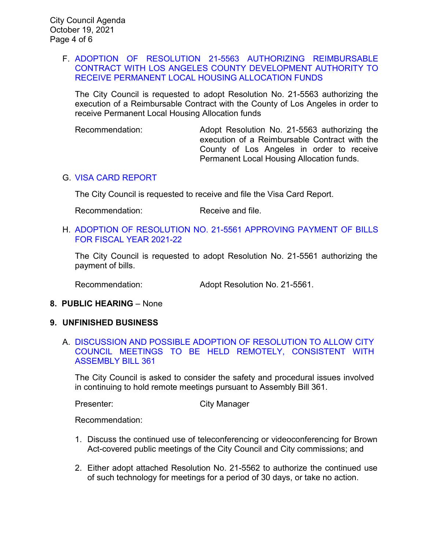## F. [ADOPTION OF RESOLUTION 21-5563 AUTHORIZING REIMBURSABLE](https://www.ci.temple-city.ca.us/DocumentCenter/View/16870/7F_PLHA-Reso_Staff-Report--w-attachments)  [CONTRACT WITH LOS ANGELES COUNTY DEVELOPMENT AUTHORITY](https://www.ci.temple-city.ca.us/DocumentCenter/View/16870/7F_PLHA-Reso_Staff-Report--w-attachments) TO RECEIVE PERMANENT [LOCAL HOUSING ALLOCATION](https://www.ci.temple-city.ca.us/DocumentCenter/View/16870/7F_PLHA-Reso_Staff-Report--w-attachments) FUNDS

The City Council is requested to adopt Resolution No. 21-5563 authorizing the execution of a Reimbursable Contract with the County of Los Angeles in order to receive Permanent Local Housing Allocation funds

Recommendation: Adopt Resolution No. 21-5563 authorizing the execution of a Reimbursable Contract with the County of Los Angeles in order to receive Permanent Local Housing Allocation funds.

## G. [VISA CARD REPORT](https://www.ci.temple-city.ca.us/DocumentCenter/View/16871/7G_Visa-Card-Report-10-19-21)

The City Council is requested to receive and file the Visa Card Report.

Recommendation: Receive and file.

### H. [ADOPTION OF RESOLUTION NO. 21-5561](https://www.ci.temple-city.ca.us/DocumentCenter/View/16872/7H_Warrant-Reso-No-21-5561_FY-2021-2022-w-attachment) APPROVING PAYMENT OF BILLS [FOR FISCAL YEAR 2021-22](https://www.ci.temple-city.ca.us/DocumentCenter/View/16872/7H_Warrant-Reso-No-21-5561_FY-2021-2022-w-attachment)

The City Council is requested to adopt Resolution No. 21-5561 authorizing the payment of bills.

Recommendation: Adopt Resolution No. 21-5561.

## **8. PUBLIC HEARING** – None

#### **9. UNFINISHED BUSINESS**

A. [DISCUSSION AND POSSIBLE ADOPTION OF RESOLUTION TO ALLOW CITY](https://www.ci.temple-city.ca.us/DocumentCenter/View/16874/10A_Remote-Meeting_Staff-Report-w-attachments)  [COUNCIL MEETINGS TO BE HELD REMOTELY, CONSISTENT WITH](https://www.ci.temple-city.ca.us/DocumentCenter/View/16874/10A_Remote-Meeting_Staff-Report-w-attachments)  [ASSEMBLY BILL 361](https://www.ci.temple-city.ca.us/DocumentCenter/View/16874/10A_Remote-Meeting_Staff-Report-w-attachments)

The City Council is asked to consider the safety and procedural issues involved in continuing to hold remote meetings pursuant to Assembly Bill 361.

Presenter: City Manager

Recommendation:

- 1. Discuss the continued use of teleconferencing or videoconferencing for Brown Act-covered public meetings of the City Council and City commissions; and
- 2. Either adopt attached Resolution No. 21-5562 to authorize the continued use of such technology for meetings for a period of 30 days, or take no action.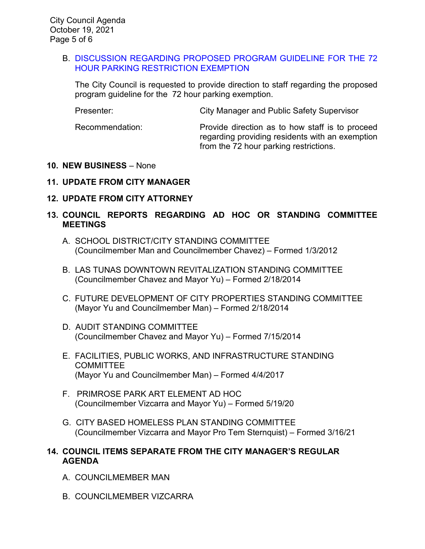## B. [DISCUSSION REGARDING PROPOSED PROGRAM GUIDELINE FOR THE 72](https://www.ci.temple-city.ca.us/DocumentCenter/View/16873/9A_72-Hour-Parking-Exemption_staff-report)  [HOUR PARKING RESTRICTION EXEMPTION](https://www.ci.temple-city.ca.us/DocumentCenter/View/16873/9A_72-Hour-Parking-Exemption_staff-report)

The City Council is requested to provide direction to staff regarding the proposed program guideline for the 72 hour parking exemption.

Presenter: City Manager and Public Safety Supervisor

Recommendation: Provide direction as to how staff is to proceed regarding providing residents with an exemption from the 72 hour parking restrictions.

## **10. NEW BUSINESS** – None

## **11. UPDATE FROM CITY MANAGER**

## **12. UPDATE FROM CITY ATTORNEY**

# **13. COUNCIL REPORTS REGARDING AD HOC OR STANDING COMMITTEE MEETINGS**

- A. SCHOOL DISTRICT/CITY STANDING COMMITTEE (Councilmember Man and Councilmember Chavez) – Formed 1/3/2012
- B. LAS TUNAS DOWNTOWN REVITALIZATION STANDING COMMITTEE (Councilmember Chavez and Mayor Yu) – Formed 2/18/2014
- C. FUTURE DEVELOPMENT OF CITY PROPERTIES STANDING COMMITTEE (Mayor Yu and Councilmember Man) – Formed 2/18/2014
- D. AUDIT STANDING COMMITTEE (Councilmember Chavez and Mayor Yu) – Formed 7/15/2014
- E. FACILITIES, PUBLIC WORKS, AND INFRASTRUCTURE STANDING **COMMITTEE** (Mayor Yu and Councilmember Man) – Formed 4/4/2017
- F. PRIMROSE PARK ART ELEMENT AD HOC (Councilmember Vizcarra and Mayor Yu) – Formed 5/19/20
- G. CITY BASED HOMELESS PLAN STANDING COMMITTEE (Councilmember Vizcarra and Mayor Pro Tem Sternquist) – Formed 3/16/21

## **14. COUNCIL ITEMS SEPARATE FROM THE CITY MANAGER'S REGULAR AGENDA**

- A. COUNCILMEMBER MAN
- B. COUNCILMEMBER VIZCARRA